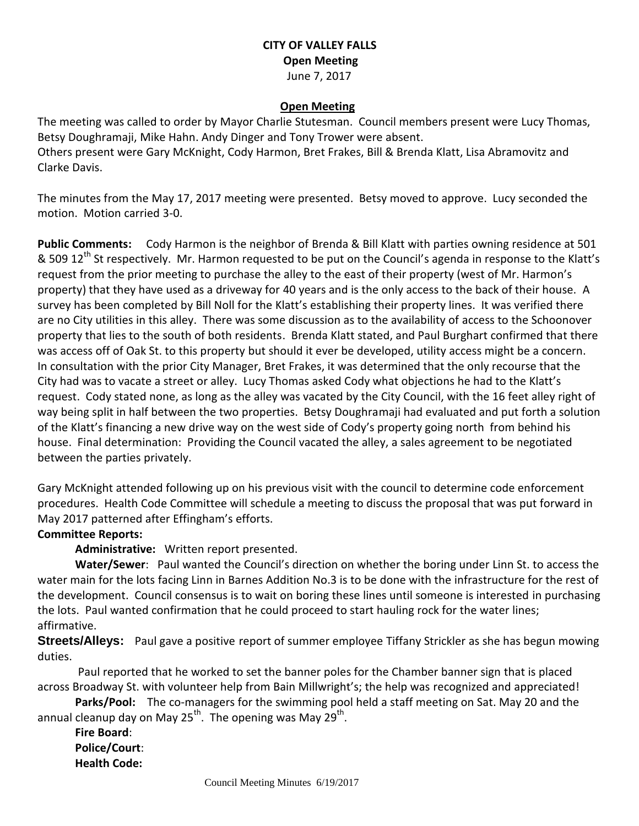## **CITY OF VALLEY FALLS Open Meeting** June 7, 2017

#### **Open Meeting**

The meeting was called to order by Mayor Charlie Stutesman. Council members present were Lucy Thomas, Betsy Doughramaji, Mike Hahn. Andy Dinger and Tony Trower were absent. Others present were Gary McKnight, Cody Harmon, Bret Frakes, Bill & Brenda Klatt, Lisa Abramovitz and Clarke Davis.

The minutes from the May 17, 2017 meeting were presented. Betsy moved to approve. Lucy seconded the motion. Motion carried 3-0.

**Public Comments:** Cody Harmon is the neighbor of Brenda & Bill Klatt with parties owning residence at 501 & 509 12<sup>th</sup> St respectively. Mr. Harmon requested to be put on the Council's agenda in response to the Klatt's request from the prior meeting to purchase the alley to the east of their property (west of Mr. Harmon's property) that they have used as a driveway for 40 years and is the only access to the back of their house. A survey has been completed by Bill Noll for the Klatt's establishing their property lines. It was verified there are no City utilities in this alley. There was some discussion as to the availability of access to the Schoonover property that lies to the south of both residents. Brenda Klatt stated, and Paul Burghart confirmed that there was access off of Oak St. to this property but should it ever be developed, utility access might be a concern. In consultation with the prior City Manager, Bret Frakes, it was determined that the only recourse that the City had was to vacate a street or alley. Lucy Thomas asked Cody what objections he had to the Klatt's request. Cody stated none, as long as the alley was vacated by the City Council, with the 16 feet alley right of way being split in half between the two properties. Betsy Doughramaji had evaluated and put forth a solution of the Klatt's financing a new drive way on the west side of Cody's property going north from behind his house. Final determination: Providing the Council vacated the alley, a sales agreement to be negotiated between the parties privately.

Gary McKnight attended following up on his previous visit with the council to determine code enforcement procedures. Health Code Committee will schedule a meeting to discuss the proposal that was put forward in May 2017 patterned after Effingham's efforts.

### **Committee Reports:**

**Administrative:** Written report presented.

**Water/Sewer**: Paul wanted the Council's direction on whether the boring under Linn St. to access the water main for the lots facing Linn in Barnes Addition No.3 is to be done with the infrastructure for the rest of the development. Council consensus is to wait on boring these lines until someone is interested in purchasing the lots. Paul wanted confirmation that he could proceed to start hauling rock for the water lines; affirmative.

**Streets/Alleys:** Paul gave a positive report of summer employee Tiffany Strickler as she has begun mowing duties.

Paul reported that he worked to set the banner poles for the Chamber banner sign that is placed across Broadway St. with volunteer help from Bain Millwright's; the help was recognized and appreciated!

**Parks/Pool:** The co-managers for the swimming pool held a staff meeting on Sat. May 20 and the annual cleanup day on May 25<sup>th</sup>. The opening was May 29<sup>th</sup>.

**Fire Board**: **Police/Court**: **Health Code:**